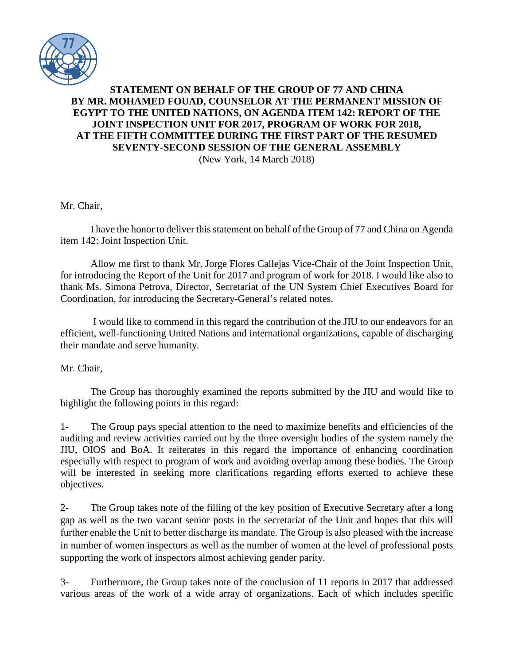

## **STATEMENT ON BEHALF OF THE GROUP OF 77 AND CHINA BY MR. MOHAMED FOUAD, COUNSELOR AT THE PERMANENT MISSION OF EGYPT TO THE UNITED NATIONS, ON AGENDA ITEM 142: REPORT OF THE JOINT INSPECTION UNIT FOR 2017, PROGRAM OF WORK FOR 2018, AT THE FIFTH COMMITTEE DURING THE FIRST PART OF THE RESUMED SEVENTY-SECOND SESSION OF THE GENERAL ASSEMBLY** (New York, 14 March 2018)

Mr. Chair,

I have the honor to deliver this statement on behalf of the Group of 77 and China on Agenda item 142: Joint Inspection Unit.

Allow me first to thank Mr. Jorge Flores Callejas Vice-Chair of the Joint Inspection Unit, for introducing the Report of the Unit for 2017 and program of work for 2018. I would like also to thank Ms. Simona Petrova, Director, Secretariat of the UN System Chief Executives Board for Coordination, for introducing the Secretary-General's related notes.

I would like to commend in this regard the contribution of the JIU to our endeavors for an efficient, well-functioning United Nations and international organizations, capable of discharging their mandate and serve humanity.

Mr. Chair,

The Group has thoroughly examined the reports submitted by the JIU and would like to highlight the following points in this regard:

1- The Group pays special attention to the need to maximize benefits and efficiencies of the auditing and review activities carried out by the three oversight bodies of the system namely the JIU, OIOS and BoA. It reiterates in this regard the importance of enhancing coordination especially with respect to program of work and avoiding overlap among these bodies. The Group will be interested in seeking more clarifications regarding efforts exerted to achieve these objectives.

2- The Group takes note of the filling of the key position of Executive Secretary after a long gap as well as the two vacant senior posts in the secretariat of the Unit and hopes that this will further enable the Unit to better discharge its mandate. The Group is also pleased with the increase in number of women inspectors as well as the number of women at the level of professional posts supporting the work of inspectors almost achieving gender parity.

3- Furthermore, the Group takes note of the conclusion of 11 reports in 2017 that addressed various areas of the work of a wide array of organizations. Each of which includes specific